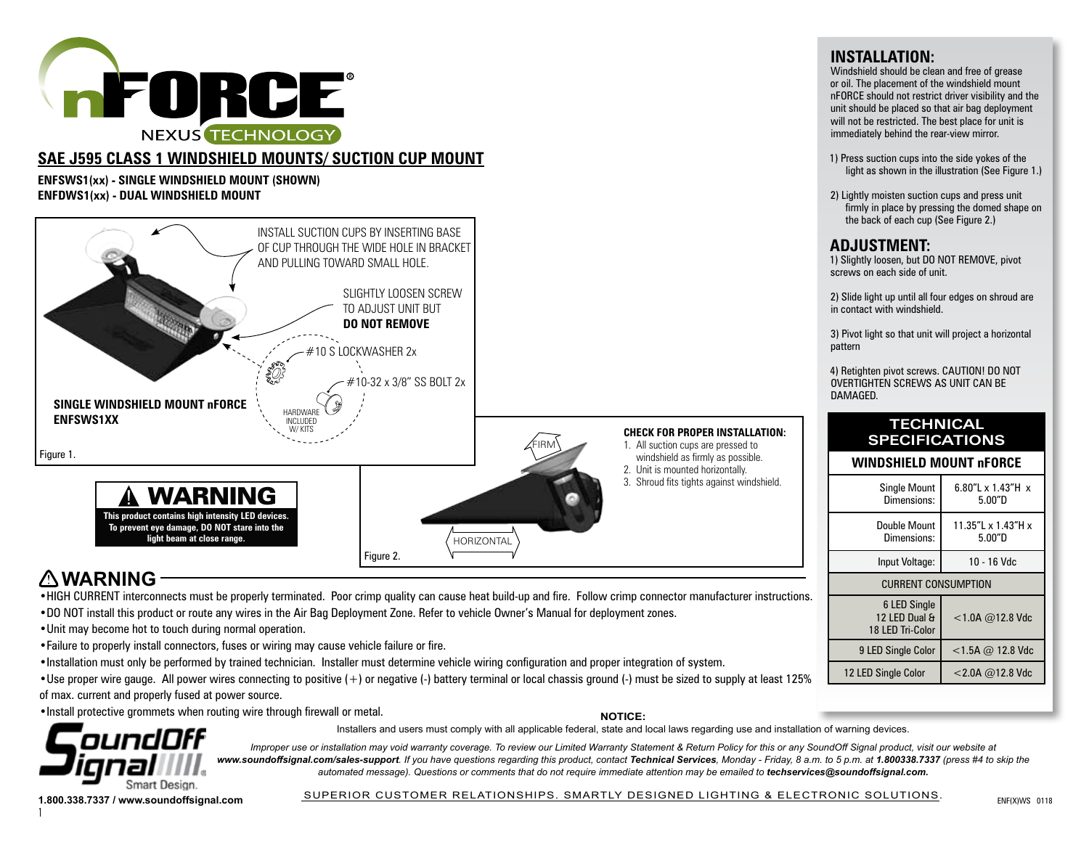

# **SAE J595 CLASS 1 WINDSHIELD MOUNTS/ SUCTION CUP MOUNT**

**ENFSWS1(xx) - SINGLE WINDSHIELD MOUNT (SHOWN) ENFDWS1(xx) - DUAL WINDSHIELD MOUNT**



# **WARNING**

•HIGH CURRENT interconnects must be properly terminated. Poor crimp quality can cause heat build-up and fire. Follow crimp connector manufacturer instructions.

- •DO NOT install this product or route any wires in the Air Bag Deployment Zone. Refer to vehicle Owner's Manual for deployment zones.
- •Unit may become hot to touch during normal operation.
- •Failure to properly install connectors, fuses or wiring may cause vehicle failure or fire.
- •Installation must only be performed by trained technician. Installer must determine vehicle wiring configuration and proper integration of system.
- •Use proper wire gauge. All power wires connecting to positive (+) or negative (-) battery terminal or local chassis ground (-) must be sized to supply at least 125% of max. current and properly fused at power source.

•Install protective grommets when routing wire through firewall or metal.

**NOTICE:**



1

Installers and users must comply with all applicable federal, state and local laws regarding use and installation of warning devices.

*Improper use or installation may void warranty coverage. To review our Limited Warranty Statement & Return Policy for this or any SoundOff Signal product, visit our website at* www.soundoffsignal.com/sales-support. If you have questions regarding this product, contact Technical Services, Monday - Friday, 8 a.m. to 5 p.m. at 1.800338.7337 (press #4 to skip the *automated message). Questions or comments that do not require immediate attention may be emailed to techservices@soundoffsignal.com.*

1.800.338.7337 / www.soundoffsignal.com **SUPERIOR CUSTOMER RELATIONSHIPS. SMARTLY DESIGNED LIGHTING & ELECTRONIC SOLUTIONS.** SUPERIOR CUSTOMER RELATIONSHIPS. SMARTLY DESIGNED LIGHTING & ELECTRONIC SOLUTIONS.

# **INSTALLATION:**

Windshield should be clean and free of grease or oil. The placement of the windshield mount nFORCE should not restrict driver visibility and the unit should be placed so that air bag deployment will not be restricted. The best place for unit is immediately behind the rear-view mirror.

- 1) Press suction cups into the side yokes of the light as shown in the illustration (See Figure 1.)
- 2) Lightly moisten suction cups and press unit firmly in place by pressing the domed shape on

| <b>Single Mount</b><br>Dimensions:                       | 6.80"L x 1.43"H x<br>5.00"D  |  |  |  |
|----------------------------------------------------------|------------------------------|--|--|--|
| Double Mount<br>Dimensions:                              | 11.35"L x 1.43"H x<br>5.00"D |  |  |  |
| Input Voltage:                                           | 10 - 16 Vdc                  |  |  |  |
| <b>CURRENT CONSUMPTION</b>                               |                              |  |  |  |
| <b>6 LED Single</b><br>12 LED Dual &<br>18 LED Tri-Color | $<$ 1.0A @12.8 Vdc           |  |  |  |
| 9 LED Single Color                                       | $<$ 1.5A @ 12.8 Vdc          |  |  |  |
| 12 LED Single Color                                      | $<$ 2.0A $@$ 12.8 Vdc        |  |  |  |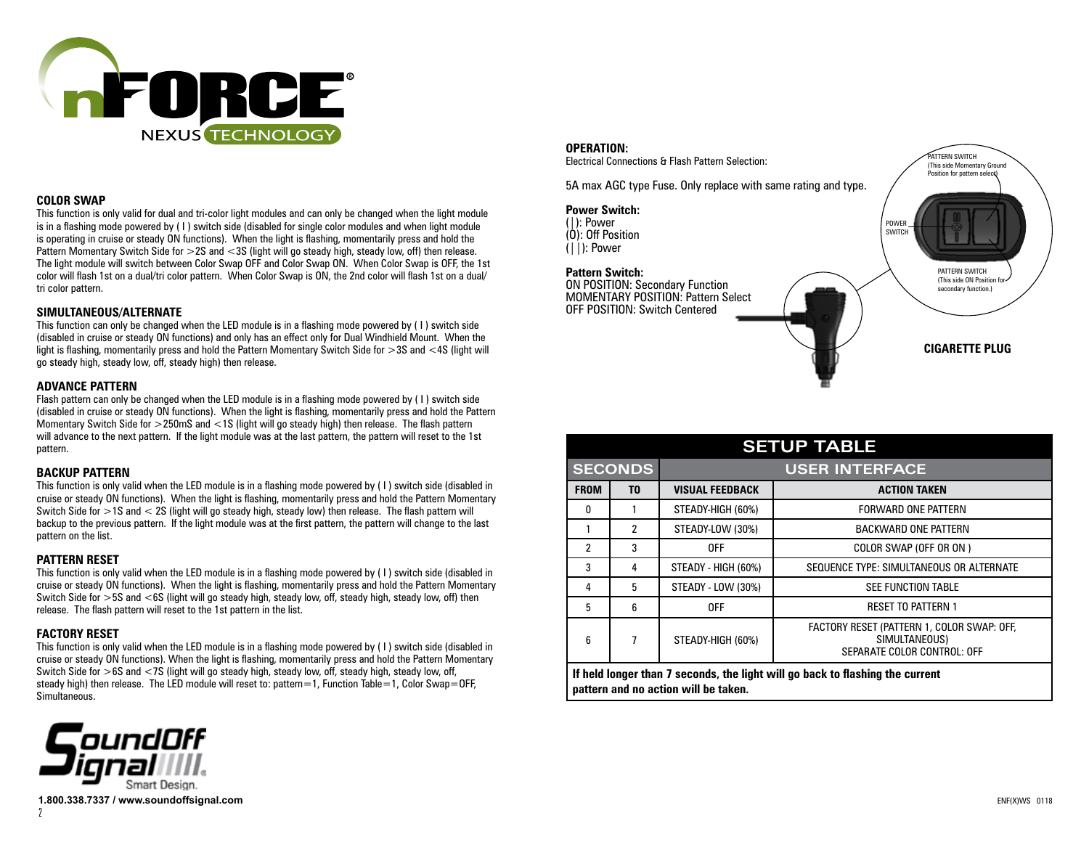

#### **COLOR SWAP**

This function is only valid for dual and tri-color light modules and can only be changed when the light module is in a flashing mode powered by (1) switch side (disabled for single color modules and when light module is operating in cruise or steady ON functions). When the light is flashing, momentarily press and hold the Pattern Momentary Switch Side for > 2S and < 3S (light will go steady high, steady low, off) then release. The light module will switch between Color Swap OFF and Color Swap ON. When Color Swap is OFF, the 1st color will flash 1st on a dual/tri color pattern. When Color Swap is ON, the 2nd color will flash 1st on a dual/ tri color pattern.

## **SIMULTANEOUS/ALTERNATE**

This function can only be changed when the LED module is in a flashing mode powered by ( I ) switch side (disabled in cruise or steady ON functions) and only has an effect only for Dual Windhield Mount. When the light is flashing, momentarily press and hold the Pattern Momentary Switch Side for >3S and <4S (light will go steady high, steady low, off, steady high) then release.

## **ADVANCE PATTERN**

Flash pattern can only be changed when the LED module is in a flashing mode powered by ( I ) switch side (disabled in cruise or steady ON functions). When the light is flashing, momentarily press and hold the Pattern Momentary Switch Side for >250mS and <1S (light will go steady high) then release. The flash pattern will advance to the next pattern. If the light module was at the last pattern, the pattern will reset to the 1st pattern.

## **BACKUP PATTERN**

This function is only valid when the LED module is in a flashing mode powered by ( I ) switch side (disabled in cruise or steady ON functions). When the light is flashing, momentarily press and hold the Pattern Momentary Switch Side for >1S and < 2S (light will go steady high, steady low) then release. The flash pattern will backup to the previous pattern. If the light module was at the first pattern, the pattern will change to the last pattern on the list.

# **PATTERN RESET**

This function is only valid when the LED module is in a flashing mode powered by ( I ) switch side (disabled in cruise or steady ON functions). When the light is flashing, momentarily press and hold the Pattern Momentary Switch Side for >5S and <6S (light will go steady high, steady low, off, steady high, steady low, off) then release. The flash pattern will reset to the 1st pattern in the list.

# **FACTORY RESET**

This function is only valid when the LED module is in a flashing mode powered by ( I ) switch side (disabled in cruise or steady ON functions). When the light is flashing, momentarily press and hold the Pattern Momentary Switch Side for >6S and <7S (light will go steady high, steady low, off, steady high, steady low, off, steady high) then release. The LED module will reset to: pattern=1, Function Table=1, Color Swap=OFF, Simultaneous.



#### **OPERATION:**

Electrical Connections & Flash Pattern Selection:

5A max AGC type Fuse. Only replace with same rating and type.

#### **Power Switch:**

(|): Power  $(0)$ : Off Position  $(|1)$ : Power

# **Pattern Switch:**

ON POSITION: Secondary Function MOMENTARY POSITION: Pattern Select OFF POSITION: Switch Centered



## **CIGARETTE PLUG**

# **SETUP TABLE SECONDS USER INTERFACE FROM TO VISUAL FEEDBACK ACTION TAKEN** 0 | 1 | STEADY-HIGH (60%) | FORWARD ONE PATTERN

|                                                                              | 2 | STEADY-LOW (30%)    | <b>BACKWARD ONE PATTERN</b>                                                                       |  |  |  |
|------------------------------------------------------------------------------|---|---------------------|---------------------------------------------------------------------------------------------------|--|--|--|
| 2                                                                            |   | 0FF                 | COLOR SWAP (OFF OR ON )                                                                           |  |  |  |
| 3                                                                            |   | STEADY - HIGH (60%) | SEQUENCE TYPE: SIMULTANEOUS OR ALTERNATE                                                          |  |  |  |
|                                                                              | 5 | STEADY - LOW (30%)  | <b>SEE FUNCTION TABLE</b>                                                                         |  |  |  |
| 5                                                                            |   | <b>OFF</b>          | <b>RESET TO PATTERN 1</b>                                                                         |  |  |  |
| 6                                                                            |   | STEADY-HIGH (60%)   | FACTORY RESET (PATTERN 1, COLOR SWAP: OFF,<br>SIMULTANEOUS)<br><b>SEPARATE COLOR CONTROL: OFF</b> |  |  |  |
| If held longer than 7 seconds the light will go hack to flashing the current |   |                     |                                                                                                   |  |  |  |

**If held longer than 7 seconds, the light will go back to flashing the current pattern and no action will be taken.**